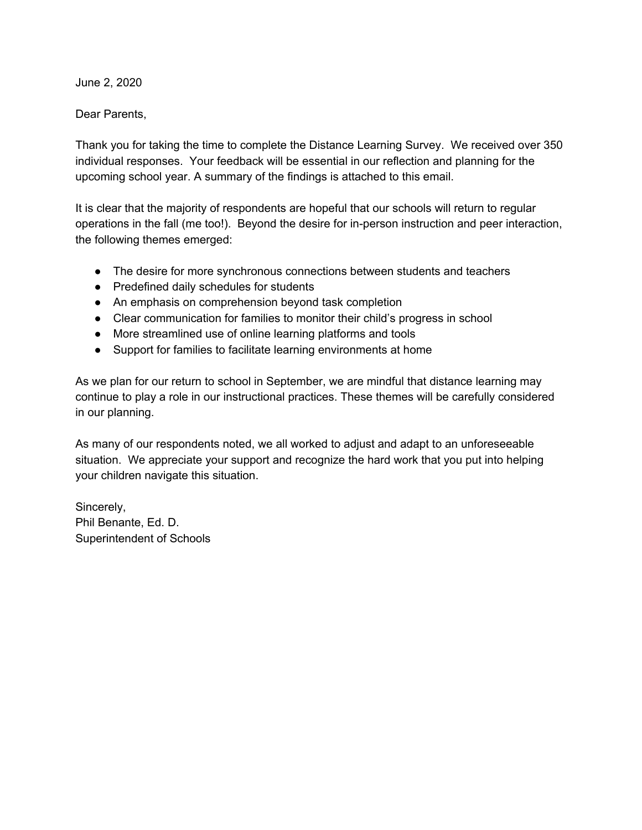June 2, 2020

Dear Parents,

Thank you for taking the time to complete the Distance Learning Survey. We received over 350 individual responses. Your feedback will be essential in our reflection and planning for the upcoming school year. A summary of the findings is attached to this email.

It is clear that the majority of respondents are hopeful that our schools will return to regular operations in the fall (me too!). Beyond the desire for in-person instruction and peer interaction, the following themes emerged:

- The desire for more synchronous connections between students and teachers
- Predefined daily schedules for students
- An emphasis on comprehension beyond task completion
- Clear communication for families to monitor their child's progress in school
- More streamlined use of online learning platforms and tools
- Support for families to facilitate learning environments at home

As we plan for our return to school in September, we are mindful that distance learning may continue to play a role in our instructional practices. These themes will be carefully considered in our planning.

As many of our respondents noted, we all worked to adjust and adapt to an unforeseeable situation. We appreciate your support and recognize the hard work that you put into helping your children navigate this situation.

Sincerely, Phil Benante, Ed. D. Superintendent of Schools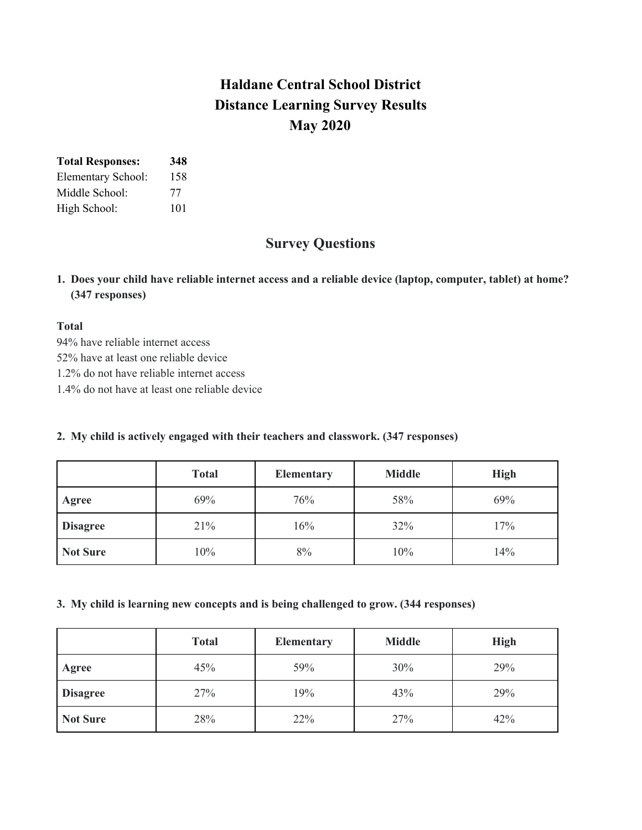# **Haldane Central School District Distance Learning Survey Results May 2020**

| <b>Total Responses:</b> | 348 |
|-------------------------|-----|
| Elementary School:      | 158 |
| Middle School:          | 77  |
| High School:            | 101 |

## **Survey Questions**

1. Does your child have reliable internet access and a reliable device (laptop, computer, tablet) at home? **(347 responses)**

### **Total**

94% have reliable internet access 52% have at least one reliable device 1.2% do not have reliable internet access 1.4% do not have at least one reliable device

### **2. My child is actively engaged with their teachers and classwork. (347 responses)**

|                 | <b>Total</b> | <b>Elementary</b> | <b>Middle</b> | <b>High</b> |
|-----------------|--------------|-------------------|---------------|-------------|
| Agree           | 69%          | 76%               | 58%           | 69%         |
| <b>Disagree</b> | 21%          | 16%               | 32%           | 17%         |
| <b>Not Sure</b> | 10%          | 8%                | 10%           | 14%         |

#### **3. My child is learning new concepts and is being challenged to grow. (344 responses)**

|                 | <b>Total</b> | <b>Elementary</b> | <b>Middle</b> | <b>High</b> |
|-----------------|--------------|-------------------|---------------|-------------|
| Agree           | 45%          | 59%               | 30%           | 29%         |
| <b>Disagree</b> | 27%          | 19%               | 43%           | 29%         |
| <b>Not Sure</b> | 28%          | 22%               | 27%           | 42%         |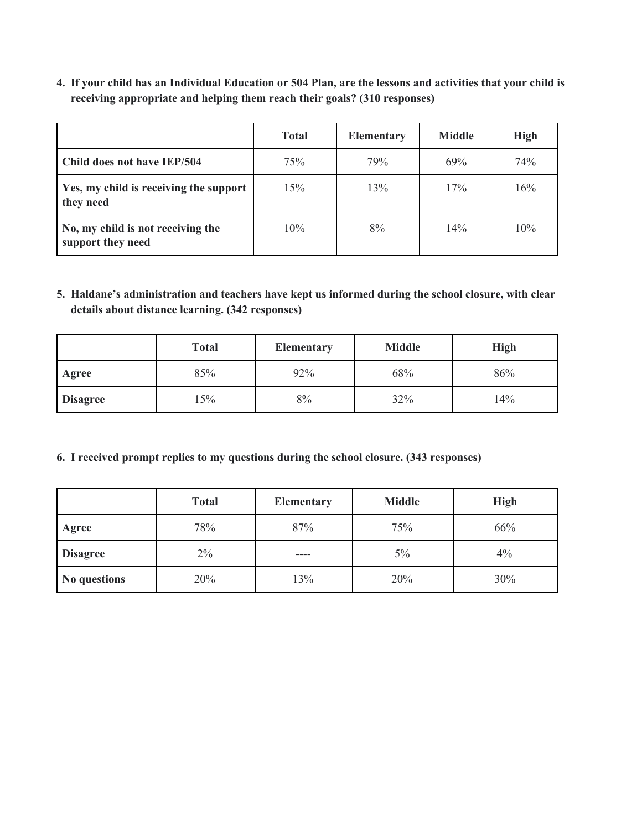4. If your child has an Individual Education or 504 Plan, are the lessons and activities that your child is **receiving appropriate and helping them reach their goals? (310 responses)**

|                                                        | <b>Total</b> | <b>Elementary</b> | <b>Middle</b> | <b>High</b> |
|--------------------------------------------------------|--------------|-------------------|---------------|-------------|
| Child does not have IEP/504                            | 75%          | 79%               | 69%           | 74%         |
| Yes, my child is receiving the support<br>they need    | 15%          | 13%               | 17%           | 16%         |
| No, my child is not receiving the<br>support they need | 10%          | 8%                | 14%           | 10%         |

**5. Haldane's administration and teachers have kept us informed during the school closure, with clear details about distance learning. (342 responses)**

|                 | <b>Total</b> | <b>Elementary</b> | <b>Middle</b> | <b>High</b> |
|-----------------|--------------|-------------------|---------------|-------------|
| Agree           | 85%          | 92%               | 68%           | 86%         |
| <b>Disagree</b> | 15%          | 8%                | 32%           | 14%         |

#### **6. I received prompt replies to my questions during the school closure. (343 responses)**

|                 | <b>Total</b> | <b>Elementary</b> | <b>Middle</b> | <b>High</b> |
|-----------------|--------------|-------------------|---------------|-------------|
| Agree           | 78%          | 87%               | 75%           | 66%         |
| <b>Disagree</b> | $2\%$        | ----              | $5\%$         | 4%          |
| No questions    | 20%          | 13%               | 20%           | 30%         |